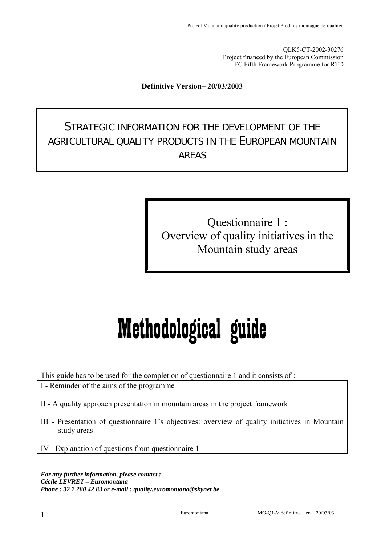QLK5-CT-2002-30276 Project financed by the European Commission EC Fifth Framework Programme for RTD

#### **Definitive Version– 20/03/2003**

STRATEGIC INFORMATION FOR THE DEVELOPMENT OF THE AGRICULTURAL QUALITY PRODUCTS IN THE EUROPEAN MOUNTAIN AREAS

> Questionnaire 1 : Overview of quality initiatives in the Mountain study areas

# Methodological guide

This guide has to be used for the completion of questionnaire 1 and it consists of :

I - Reminder of the aims of the programme

- II A quality approach presentation in mountain areas in the project framework
- III Presentation of questionnaire 1's objectives: overview of quality initiatives in Mountain study areas

IV - Explanation of questions from questionnaire 1

*For any further information, please contact : Cécile LEVRET – Euromontana Phone : 32 2 280 42 83 or e-mail : quality.euromontana@skynet.be*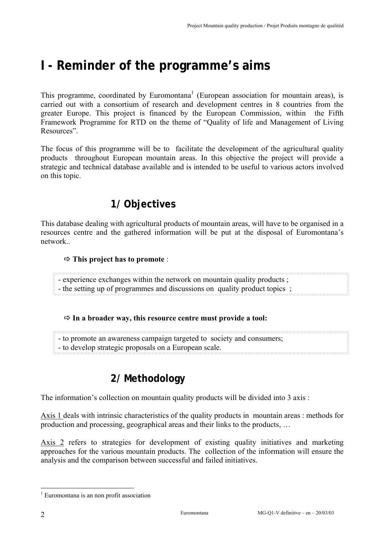# **I - Reminder of the programme's aims**

This programme, coordinated by Euromontana<sup>1</sup> (European association for mountain areas), is carried out with a consortium of research and development centres in 8 countries from the greater Europe. This project is financed by the European Commission, within the Fifth Framework Programme for RTD on the theme of "Quality of life and Management of Living Resources".

The focus of this programme will be to facilitate the development of the agricultural quality products throughout European mountain areas. In this objective the project will provide a strategic and technical database available and is intended to be useful to various actors involved on this topic.

# **1/ Objectives**

This database dealing with agricultural products of mountain areas, will have to be organised in a resources centre and the gathered information will be put at the disposal of Euromontana's network..

#### Ö **This project has to promote** :

- experience exchanges within the network on mountain quality products ;
- the setting up of programmes and discussions on quality product topics ;

#### Ö **In a broader way, this resource centre must provide a tool:**

- to promote an awareness campaign targeted to society and consumers;
- to develop strategic proposals on a European scale.

### **2/ Methodology**

The information's collection on mountain quality products will be divided into 3 axis :

Axis 1 deals with intrinsic characteristics of the quality products in mountain areas : methods for production and processing, geographical areas and their links to the products, …

Axis 2 refers to strategies for development of existing quality initiatives and marketing approaches for the various mountain products. The collection of the information will ensure the analysis and the comparison between successful and failed initiatives.

 $\overline{a}$ 

<sup>&</sup>lt;sup>1</sup> Euromontana is an non profit association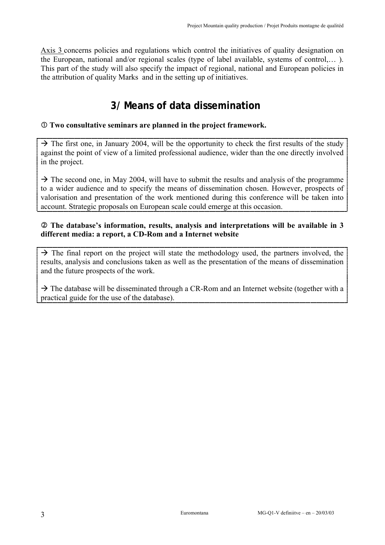Axis 3 concerns policies and regulations which control the initiatives of quality designation on the European, national and/or regional scales (type of label available, systems of control,… ). This part of the study will also specify the impact of regional, national and European policies in the attribution of quality Marks and in the setting up of initiatives.

# **3/ Means of data dissemination**

#### c **Two consultative seminars are planned in the project framework.**

 $\rightarrow$  The first one, in January 2004, will be the opportunity to check the first results of the study against the point of view of a limited professional audience, wider than the one directly involved in the project.

 $\rightarrow$  The second one, in May 2004, will have to submit the results and analysis of the programme to a wider audience and to specify the means of dissemination chosen. However, prospects of valorisation and presentation of the work mentioned during this conference will be taken into account. Strategic proposals on European scale could emerge at this occasion.

#### d **The database's information, results, analysis and interpretations will be available in 3 different media: a report, a CD-Rom and a Internet website**

 $\rightarrow$  The final report on the project will state the methodology used, the partners involved, the results, analysis and conclusions taken as well as the presentation of the means of dissemination and the future prospects of the work.

 $\rightarrow$  The database will be disseminated through a CR-Rom and an Internet website (together with a practical guide for the use of the database).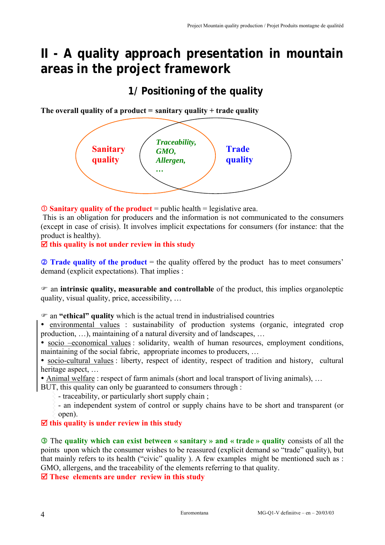# **II - A quality approach presentation in mountain areas in the project framework**

# **1/ Positioning of the quality**

**The overall quality of a product = sanitary quality + trade quality** 



c **Sanitary quality of the product** = public health = legislative area.

 This is an obligation for producers and the information is not communicated to the consumers (except in case of crisis). It involves implicit expectations for consumers (for instance: that the product is healthy).

 $\Xi$  this quality is not under review in this study

**2 Trade quality of the product** = the quality offered by the product has to meet consumers' demand (explicit expectations). That implies :

) an **intrinsic quality, measurable and controllable** of the product, this implies organoleptic quality, visual quality, price, accessibility, …

) an **"ethical" quality** which is the actual trend in industrialised countries

• environmental values : sustainability of production systems (organic, integrated crop production, …), maintaining of a natural diversity and of landscapes, …

• socio –economical values : solidarity, wealth of human resources, employment conditions, maintaining of the social fabric, appropriate incomes to producers, …

• socio-cultural values : liberty, respect of identity, respect of tradition and history, cultural heritage aspect, …

• Animal welfare : respect of farm animals (short and local transport of living animals), ...

BUT, this quality can only be guaranteed to consumers through :

- traceability, or particularly short supply chain ;

- an independent system of control or supply chains have to be short and transparent (or open).

#### ; **this quality is under review in this study**

**Example 3** The quality which can exist between « sanitary » and « trade » quality consists of all the points upon which the consumer wishes to be reassured (explicit demand so "trade" quality), but that mainly refers to its health ("civic" quality ). A few examples might be mentioned such as : GMO, allergens, and the traceability of the elements referring to that quality.

 $\overline{\mathbf{Z}}$  These elements are under review in this study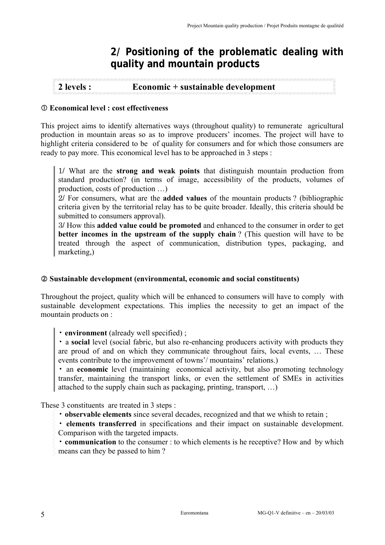### **2/ Positioning of the problematic dealing with quality and mountain products**

#### **2 levels : Economic + sustainable development**

#### c **Economical level : cost effectiveness**

This project aims to identify alternatives ways (throughout quality) to remunerate agricultural production in mountain areas so as to improve producers' incomes. The project will have to highlight criteria considered to be of quality for consumers and for which those consumers are ready to pay more. This economical level has to be approached in 3 steps :

1/ What are the **strong and weak points** that distinguish mountain production from standard production? (in terms of image, accessibility of the products, volumes of production, costs of production …)

2/ For consumers, what are the **added values** of the mountain products ? (bibliographic criteria given by the territorial relay has to be quite broader. Ideally, this criteria should be submitted to consumers approval).

3/ How this **added value could be promoted** and enhanced to the consumer in order to get **better incomes in the upstream of the supply chain**? (This question will have to be treated through the aspect of communication, distribution types, packaging, and marketing,)

#### d **Sustainable development (environmental, economic and social constituents)**

Throughout the project, quality which will be enhanced to consumers will have to comply with sustainable development expectations. This implies the necessity to get an impact of the mountain products on :

• **environment** (already well specified) ;

• a **social** level (social fabric, but also re-enhancing producers activity with products they are proud of and on which they communicate throughout fairs, local events, … These events contribute to the improvement of towns'/ mountains' relations.)

• an **economic** level (maintaining economical activity, but also promoting technology transfer, maintaining the transport links, or even the settlement of SMEs in activities attached to the supply chain such as packaging, printing, transport, …)

These 3 constituents are treated in 3 steps :

• **observable elements** since several decades, recognized and that we whish to retain ;

• **elements transferred** in specifications and their impact on sustainable development. Comparison with the targeted impacts.

• **communication** to the consumer : to which elements is he receptive? How and by which means can they be passed to him ?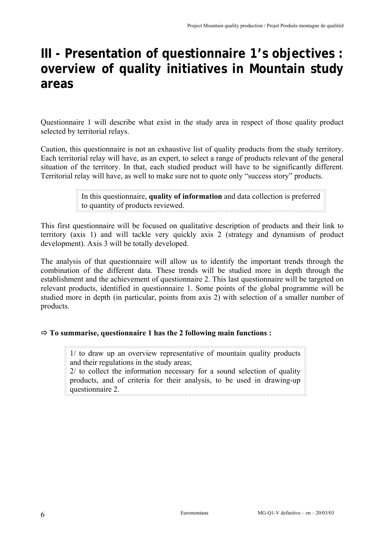# **III - Presentation of questionnaire 1's objectives : overview of quality initiatives in Mountain study areas**

Questionnaire 1 will describe what exist in the study area in respect of those quality product selected by territorial relays.

Caution, this questionnaire is not an exhaustive list of quality products from the study territory. Each territorial relay will have, as an expert, to select a range of products relevant of the general situation of the territory. In that, each studied product will have to be significantly different. Territorial relay will have, as well to make sure not to quote only "success story" products.

> In this questionnaire, **quality of information** and data collection is preferred to quantity of products reviewed.

This first questionnaire will be focused on qualitative description of products and their link to territory (axis 1) and will tackle very quickly axis 2 (strategy and dynamism of product development). Axis 3 will be totally developed.

The analysis of that questionnaire will allow us to identify the important trends through the combination of the different data. These trends will be studied more in depth through the establishment and the achievement of questionnaire 2. This last questionnaire will be targeted on relevant products, identified in questionnaire 1. Some points of the global programme will be studied more in depth (in particular, points from axis 2) with selection of a smaller number of products.

#### Ö **To summarise, questionnaire 1 has the 2 following main functions :**

1/ to draw up an overview representative of mountain quality products and their regulations in the study areas;

2/ to collect the information necessary for a sound selection of quality products, and of criteria for their analysis, to be used in drawing-up questionnaire 2.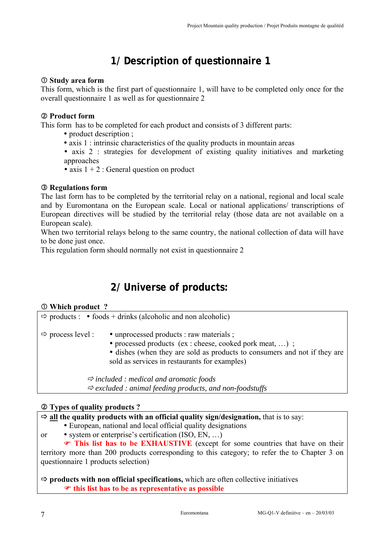# **1/ Description of questionnaire 1**

#### c **Study area form**

This form, which is the first part of questionnaire 1, will have to be completed only once for the overall questionnaire 1 as well as for questionnaire 2

#### d **Product form**

This form has to be completed for each product and consists of 3 different parts:

- product description ;
- $\bullet$  axis 1 : intrinsic characteristics of the quality products in mountain areas
- axis 2 : strategies for development of existing quality initiatives and marketing approaches
- axis  $1 + 2$ : General question on product

#### e **Regulations form**

The last form has to be completed by the territorial relay on a national, regional and local scale and by Euromontana on the European scale. Local or national applications/ transcriptions of European directives will be studied by the territorial relay (those data are not available on a European scale).

When two territorial relays belong to the same country, the national collection of data will have to be done just once.

This regulation form should normally not exist in questionnaire 2

# **2/ Universe of products:**

#### c **Which product ?**

|                               | $\Rightarrow$ products : • foods + drinks (alcoholic and non alcoholic)                                                                                                                                                          |
|-------------------------------|----------------------------------------------------------------------------------------------------------------------------------------------------------------------------------------------------------------------------------|
| $\Rightarrow$ process level : | • unprocessed products : raw materials ;<br>• processed products (ex: cheese, cooked pork meat, );<br>• dishes (when they are sold as products to consumers and not if they are<br>sold as services in restaurants for examples) |
|                               | $\Rightarrow$ included : medical and aromatic foods                                                                                                                                                                              |

<sup>Ö</sup> *excluded : animal feeding products, and non-foodstuffs* 

#### d **Types of quality products ?**

| $\Rightarrow$ all the quality products with an official quality sign/designation, that is to say: |  |  |  |
|---------------------------------------------------------------------------------------------------|--|--|--|
| • European, national and local official quality designations                                      |  |  |  |
| • system or enterprise's certification $(ISO, EN, \ldots)$<br><sub>or</sub>                       |  |  |  |
| This list has to be EXHAUSTIVE (except for some countries that have on their                      |  |  |  |
| territory more than 200 products corresponding to this category; to refer the to Chapter 3 on     |  |  |  |
| questionnaire 1 products selection)                                                               |  |  |  |
|                                                                                                   |  |  |  |
| $\Rightarrow$ products with non official specifications, which are often collective initiatives   |  |  |  |
| $\bullet$ this list has to be as representative as possible                                       |  |  |  |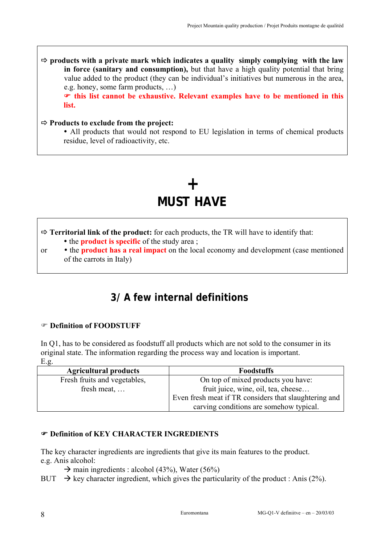$\Rightarrow$  products with a private mark which indicates a quality simply complying with the law **in force (sanitary and consumption),** but that have a high quality potential that bring value added to the product (they can be individual's initiatives but numerous in the area, e.g. honey, some farm products, …)

) **this list cannot be exhaustive. Relevant examples have to be mentioned in this list.** 

#### Ö **Products to exclude from the project:**

• All products that would not respond to EU legislation in terms of chemical products residue, level of radioactivity, etc.

# **+ MUST HAVE**

Ö **Territorial link of the product:** for each products, the TR will have to identify that:

- the **product is specific** of the study area :
- or y the **product has a real impact** on the local economy and development (case mentioned of the carrots in Italy)

### **3/ A few internal definitions**

#### ) **Definition of FOODSTUFF**

In Q1, has to be considered as foodstuff all products which are not sold to the consumer in its original state. The information regarding the process way and location is important. E.g.

| <b>Agricultural products</b> | <b>Foodstuffs</b>                                     |
|------------------------------|-------------------------------------------------------|
| Fresh fruits and vegetables, | On top of mixed products you have:                    |
| fresh meat,                  | fruit juice, wine, oil, tea, cheese                   |
|                              | Even fresh meat if TR considers that slaughtering and |
|                              | carving conditions are somehow typical.               |

#### ) **Definition of KEY CHARACTER INGREDIENTS**

The key character ingredients are ingredients that give its main features to the product. e.g. Anis alcohol:

- $\rightarrow$  main ingredients : alcohol (43%), Water (56%)
- BUT  $\rightarrow$  key character ingredient, which gives the particularity of the product : Anis (2%).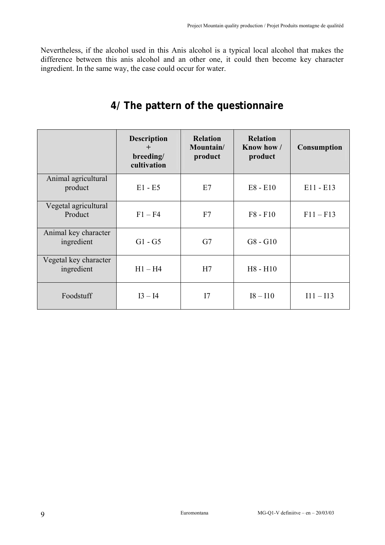Nevertheless, if the alcohol used in this Anis alcohol is a typical local alcohol that makes the difference between this anis alcohol and an other one, it could then become key character ingredient. In the same way, the case could occur for water.

# **4/ The pattern of the questionnaire**

|                                     | <b>Description</b><br>$+$<br>breeding/<br>cultivation | <b>Relation</b><br>Mountain/<br>product | <b>Relation</b><br>Know how /<br>product | <b>Consumption</b> |
|-------------------------------------|-------------------------------------------------------|-----------------------------------------|------------------------------------------|--------------------|
| Animal agricultural<br>product      | $E1 - E5$                                             | E7                                      | $E8 - E10$                               | $E11 - E13$        |
| Vegetal agricultural<br>Product     | $F1 - F4$                                             | F7                                      | $F8 - F10$                               | $F11 - F13$        |
| Animal key character<br>ingredient  | $G1 - G5$                                             | G7                                      | $G8 - G10$                               |                    |
| Vegetal key character<br>ingredient | $H1 - H4$                                             | H7                                      | $H8 - H10$                               |                    |
| Foodstuff                           | $I3 - I4$                                             | I7                                      | $I8 - I10$                               | $I11 - I13$        |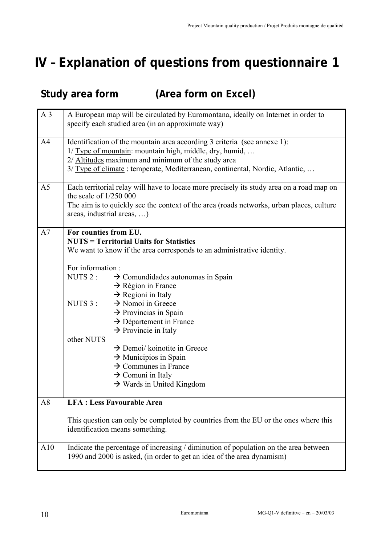ŧ.

# **IV – Explanation of questions from questionnaire 1**

# **Study area form (Area form on Excel)**

| A <sub>3</sub> | A European map will be circulated by Euromontana, ideally on Internet in order to<br>specify each studied area (in an approximate way)                                                                                                                                                                                                                                                                                                                                                                                                                                                                                                                                          |
|----------------|---------------------------------------------------------------------------------------------------------------------------------------------------------------------------------------------------------------------------------------------------------------------------------------------------------------------------------------------------------------------------------------------------------------------------------------------------------------------------------------------------------------------------------------------------------------------------------------------------------------------------------------------------------------------------------|
| A <sub>4</sub> | Identification of the mountain area according 3 criteria (see annexe 1):<br>1/ Type of mountain: mountain high, middle, dry, humid,<br>2/ Altitudes maximum and minimum of the study area<br>3/ Type of climate: temperate, Mediterranean, continental, Nordic, Atlantic,                                                                                                                                                                                                                                                                                                                                                                                                       |
| A <sub>5</sub> | Each territorial relay will have to locate more precisely its study area on a road map on<br>the scale of $1/250000$<br>The aim is to quickly see the context of the area (roads networks, urban places, culture<br>areas, industrial areas, )                                                                                                                                                                                                                                                                                                                                                                                                                                  |
| A7             | For counties from EU.<br><b>NUTS = Territorial Units for Statistics</b><br>We want to know if the area corresponds to an administrative identity.<br>For information:<br>NUTS 2:<br>$\rightarrow$ Comundidades autonomas in Spain<br>$\rightarrow$ Région in France<br>$\rightarrow$ Regioni in Italy<br>NUTS 3 :<br>$\rightarrow$ Nomoi in Greece<br>$\rightarrow$ Provincias in Spain<br>$\rightarrow$ Département in France<br>$\rightarrow$ Provincie in Italy<br>other NUTS<br>$\rightarrow$ Demoi/ koinotite in Greece<br>$\rightarrow$ Municipios in Spain<br>$\rightarrow$ Communes in France<br>$\rightarrow$ Comuni in Italy<br>$\rightarrow$ Wards in United Kingdom |
| A8             | <b>LFA: Less Favourable Area</b><br>This question can only be completed by countries from the EU or the ones where this<br>identification means something.                                                                                                                                                                                                                                                                                                                                                                                                                                                                                                                      |
| A10            | Indicate the percentage of increasing / diminution of population on the area between<br>1990 and 2000 is asked, (in order to get an idea of the area dynamism)                                                                                                                                                                                                                                                                                                                                                                                                                                                                                                                  |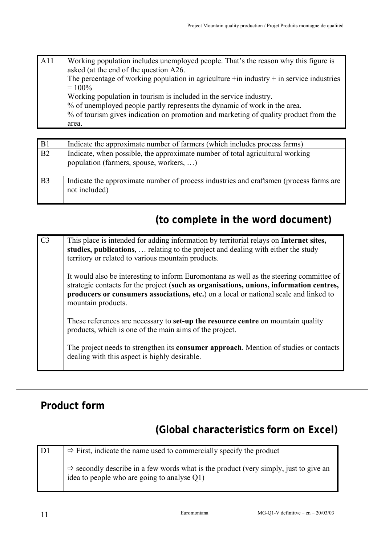| A11 | Working population includes unemployed people. That's the reason why this figure is       |
|-----|-------------------------------------------------------------------------------------------|
|     | asked (at the end of the question A26.                                                    |
|     | The percentage of working population in agriculture $+n$ industry $+n$ service industries |
|     | $= 100\%$                                                                                 |
|     | Working population in tourism is included in the service industry.                        |
|     | % of unemployed people partly represents the dynamic of work in the area.                 |
|     | % of tourism gives indication on promotion and marketing of quality product from the      |
|     | area.                                                                                     |

| B <sub>1</sub> | Indicate the approximate number of farmers (which includes process farms)                                                |
|----------------|--------------------------------------------------------------------------------------------------------------------------|
| B2             | Indicate, when possible, the approximate number of total agricultural working<br>population (farmers, spouse, workers, ) |
| B <sub>3</sub> | Indicate the approximate number of process industries and craftsmen (process farms are<br>not included)                  |

# **(to complete in the word document)**

| C <sub>3</sub> | This place is intended for adding information by territorial relays on Internet sites,<br>studies, publications,  relating to the project and dealing with either the study<br>territory or related to various mountain products.                                                                 |
|----------------|---------------------------------------------------------------------------------------------------------------------------------------------------------------------------------------------------------------------------------------------------------------------------------------------------|
|                | It would also be interesting to inform Euromontana as well as the steering committee of<br>strategic contacts for the project (such as organisations, unions, information centres,<br>producers or consumers associations, etc.) on a local or national scale and linked to<br>mountain products. |
|                | These references are necessary to <b>set-up the resource centre</b> on mountain quality<br>products, which is one of the main aims of the project.                                                                                                                                                |
|                | The project needs to strengthen its <b>consumer approach</b> . Mention of studies or contacts<br>dealing with this aspect is highly desirable.                                                                                                                                                    |

# **Product form**

# **(Global characteristics form on Excel)**

 $D1 \quad \Rightarrow$  First, indicate the name used to commercially specify the product  $\Rightarrow$  secondly describe in a few words what is the product (very simply, just to give an idea to people who are going to analyse Q1)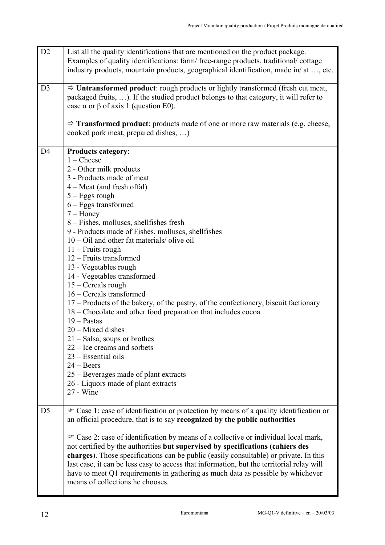| D2             | List all the quality identifications that are mentioned on the product package.<br>Examples of quality identifications: farm/free-range products, traditional/cottage<br>industry products, mountain products, geographical identification, made in/ at , etc.                                                                                                                                                                                                                                                                                                                                                                                                                                                                                                                                                                                                                                                      |
|----------------|---------------------------------------------------------------------------------------------------------------------------------------------------------------------------------------------------------------------------------------------------------------------------------------------------------------------------------------------------------------------------------------------------------------------------------------------------------------------------------------------------------------------------------------------------------------------------------------------------------------------------------------------------------------------------------------------------------------------------------------------------------------------------------------------------------------------------------------------------------------------------------------------------------------------|
| D <sub>3</sub> | $\Rightarrow$ Untransformed product: rough products or lightly transformed (fresh cut meat,<br>packaged fruits, ). If the studied product belongs to that category, it will refer to<br>case $\alpha$ or $\beta$ of axis 1 (question E0).<br>$\Rightarrow$ <b>Transformed product</b> : products made of one or more raw materials (e.g. cheese,                                                                                                                                                                                                                                                                                                                                                                                                                                                                                                                                                                    |
|                | cooked pork meat, prepared dishes, )                                                                                                                                                                                                                                                                                                                                                                                                                                                                                                                                                                                                                                                                                                                                                                                                                                                                                |
| D <sub>4</sub> | <b>Products category:</b><br>$1$ – Cheese<br>2 - Other milk products<br>3 - Products made of meat<br>4 – Meat (and fresh offal)<br>$5 - Eggs rough$<br>$6 - Eggs$ transformed<br>$7 -$ Honey<br>8 - Fishes, molluscs, shellfishes fresh<br>9 - Products made of Fishes, molluscs, shellfishes<br>$10 - Oil$ and other fat materials/olive oil<br>$11$ – Fruits rough<br>12 – Fruits transformed<br>13 - Vegetables rough<br>14 - Vegetables transformed<br>$15 - C$ ereals rough<br>16 – Cereals transformed<br>17 – Products of the bakery, of the pastry, of the confectionery, biscuit factionary<br>18 – Chocolate and other food preparation that includes cocoa<br>$19 -$ Pastas<br>20 - Mixed dishes<br>$21 - Salsa$ , soups or brothes<br>$22 -$ Ice creams and sorbets<br>23 – Essential oils<br>$24 - Beers$<br>25 - Beverages made of plant extracts<br>26 - Liquors made of plant extracts<br>27 - Wine |
| D <sub>5</sub> | The Case 1: case of identification or protection by means of a quality identification or<br>an official procedure, that is to say recognized by the public authorities<br>• Case 2: case of identification by means of a collective or individual local mark,<br>not certified by the authorities but supervised by specifications (cahiers des                                                                                                                                                                                                                                                                                                                                                                                                                                                                                                                                                                     |
|                | charges). Those specifications can be public (easily consultable) or private. In this<br>last case, it can be less easy to access that information, but the territorial relay will<br>have to meet Q1 requirements in gathering as much data as possible by whichever<br>means of collections he chooses.                                                                                                                                                                                                                                                                                                                                                                                                                                                                                                                                                                                                           |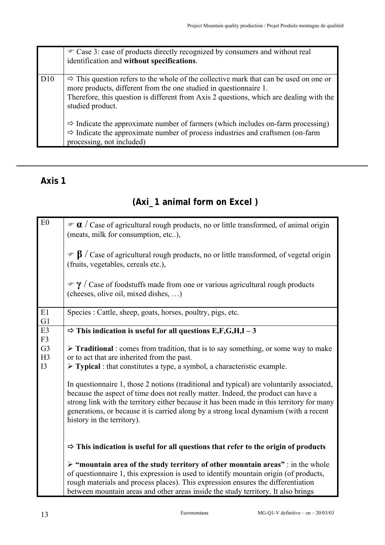|     | • Case 3: case of products directly recognized by consumers and without real<br>identification and without specifications.                                                                                                                                                            |
|-----|---------------------------------------------------------------------------------------------------------------------------------------------------------------------------------------------------------------------------------------------------------------------------------------|
| D10 | $\Rightarrow$ This question refers to the whole of the collective mark that can be used on one or<br>more products, different from the one studied in questionnaire 1.<br>Therefore, this question is different from Axis 2 questions, which are dealing with the<br>studied product. |
|     | $\Rightarrow$ Indicate the approximate number of farmers (which includes on-farm processing)<br>$\Rightarrow$ Indicate the approximate number of process industries and craftsmen (on-farm<br>processing, not included)                                                               |

### **Axis 1**

# **(Axi\_1 animal form on Excel )**

| E0                                     | $\mathcal{F}$ <b><math>\alpha</math></b> / Case of agricultural rough products, no or little transformed, of animal origin<br>(meats, milk for consumption, etc),                                                                                                                                                                                                                                  |
|----------------------------------------|----------------------------------------------------------------------------------------------------------------------------------------------------------------------------------------------------------------------------------------------------------------------------------------------------------------------------------------------------------------------------------------------------|
|                                        | $\mathcal{F}$ $\beta$ / Case of agricultural rough products, no or little transformed, of vegetal origin<br>(fruits, vegetables, cereals etc.),                                                                                                                                                                                                                                                    |
|                                        | $\mathcal{F}$ $\gamma$ / Case of foodstuffs made from one or various agricultural rough products<br>(cheeses, olive oil, mixed dishes, )                                                                                                                                                                                                                                                           |
| E1<br>G1                               | Species : Cattle, sheep, goats, horses, poultry, pigs, etc.                                                                                                                                                                                                                                                                                                                                        |
| E <sub>3</sub><br>F3                   | $\Rightarrow$ This indication is useful for all questions E,F,G,H,I - 3                                                                                                                                                                                                                                                                                                                            |
| G <sub>3</sub><br>H <sub>3</sub><br>I3 | $\triangleright$ Traditional : comes from tradition, that is to say something, or some way to make<br>or to act that are inherited from the past.<br>$\triangleright$ Typical : that constitutes a type, a symbol, a characteristic example.                                                                                                                                                       |
|                                        | In questionnaire 1, those 2 notions (traditional and typical) are voluntarily associated,<br>because the aspect of time does not really matter. Indeed, the product can have a<br>strong link with the territory either because it has been made in this territory for many<br>generations, or because it is carried along by a strong local dynamism (with a recent<br>history in the territory). |
|                                        | $\Rightarrow$ This indication is useful for all questions that refer to the origin of products                                                                                                                                                                                                                                                                                                     |
|                                        | $\triangleright$ "mountain area of the study territory of other mountain areas" : in the whole<br>of questionnaire 1, this expression is used to identify mountain origin (of products,<br>rough materials and process places). This expression ensures the differentiation<br>between mountain areas and other areas inside the study territory. It also brings                                   |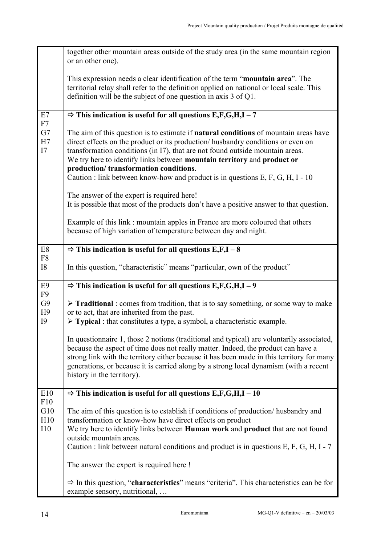|                                 | together other mountain areas outside of the study area (in the same mountain region<br>or an other one).                                                                                                                                                                                                                                                                                                                                                              |
|---------------------------------|------------------------------------------------------------------------------------------------------------------------------------------------------------------------------------------------------------------------------------------------------------------------------------------------------------------------------------------------------------------------------------------------------------------------------------------------------------------------|
|                                 | This expression needs a clear identification of the term "mountain area". The<br>territorial relay shall refer to the definition applied on national or local scale. This<br>definition will be the subject of one question in axis 3 of Q1.                                                                                                                                                                                                                           |
| E7                              | $\Rightarrow$ This indication is useful for all questions E,F,G,H,I - 7                                                                                                                                                                                                                                                                                                                                                                                                |
| ${\rm F}7$<br>G7<br>H7<br>I7    | The aim of this question is to estimate if <b>natural conditions</b> of mountain areas have<br>direct effects on the product or its production/ husbandry conditions or even on<br>transformation conditions (in I7), that are not found outside mountain areas.<br>We try here to identify links between mountain territory and product or<br>production/transformation conditions.<br>Caution : link between know-how and product is in questions E, F, G, H, I - 10 |
|                                 | The answer of the expert is required here!                                                                                                                                                                                                                                                                                                                                                                                                                             |
|                                 | It is possible that most of the products don't have a positive answer to that question.                                                                                                                                                                                                                                                                                                                                                                                |
|                                 | Example of this link: mountain apples in France are more coloured that others<br>because of high variation of temperature between day and night.                                                                                                                                                                                                                                                                                                                       |
| $\mathrm{E}8$                   | $\Rightarrow$ This indication is useful for all questions E,F,I – 8                                                                                                                                                                                                                                                                                                                                                                                                    |
| F8<br><b>I8</b>                 | In this question, "characteristic" means "particular, own of the product"                                                                                                                                                                                                                                                                                                                                                                                              |
| E <sub>9</sub>                  | $\Rightarrow$ This indication is useful for all questions E,F,G,H,I - 9                                                                                                                                                                                                                                                                                                                                                                                                |
| F9<br>G9<br>H9<br><b>I9</b>     | > Traditional: comes from tradition, that is to say something, or some way to make<br>or to act, that are inherited from the past.<br>$\triangleright$ Typical : that constitutes a type, a symbol, a characteristic example.                                                                                                                                                                                                                                          |
|                                 | In questionnaire 1, those 2 notions (traditional and typical) are voluntarily associated,<br>because the aspect of time does not really matter. Indeed, the product can have a<br>strong link with the territory either because it has been made in this territory for many<br>generations, or because it is carried along by a strong local dynamism (with a recent<br>history in the territory).                                                                     |
| E10                             | $\Rightarrow$ This indication is useful for all questions E,F,G,H,I – 10                                                                                                                                                                                                                                                                                                                                                                                               |
| F10<br>G10<br>H10<br><b>I10</b> | The aim of this question is to establish if conditions of production/ husbandry and<br>transformation or know-how have direct effects on product<br>We try here to identify links between Human work and product that are not found<br>outside mountain areas.<br>Caution : link between natural conditions and product is in questions $E, F, G, H, I - 7$                                                                                                            |
|                                 | The answer the expert is required here!                                                                                                                                                                                                                                                                                                                                                                                                                                |
|                                 | $\Rightarrow$ In this question, "characteristics" means "criteria". This characteristics can be for<br>example sensory, nutritional,                                                                                                                                                                                                                                                                                                                                   |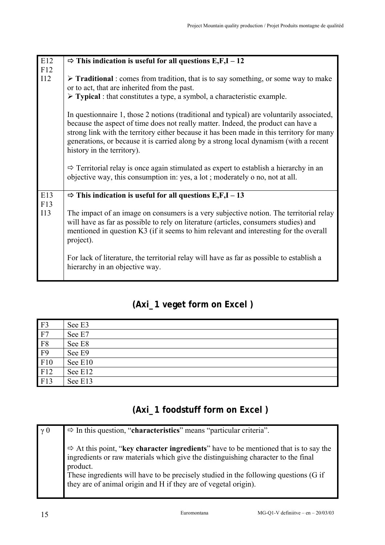| E12        | $\Rightarrow$ This indication is useful for all questions E,F,I – 12                                                                                                                                                                                                                                                                                                                               |
|------------|----------------------------------------------------------------------------------------------------------------------------------------------------------------------------------------------------------------------------------------------------------------------------------------------------------------------------------------------------------------------------------------------------|
| F12        |                                                                                                                                                                                                                                                                                                                                                                                                    |
| 112        | $\triangleright$ <b>Traditional</b> : comes from tradition, that is to say something, or some way to make<br>or to act, that are inherited from the past.                                                                                                                                                                                                                                          |
|            |                                                                                                                                                                                                                                                                                                                                                                                                    |
|            | $\triangleright$ Typical : that constitutes a type, a symbol, a characteristic example.                                                                                                                                                                                                                                                                                                            |
|            | In questionnaire 1, those 2 notions (traditional and typical) are voluntarily associated,<br>because the aspect of time does not really matter. Indeed, the product can have a<br>strong link with the territory either because it has been made in this territory for many<br>generations, or because it is carried along by a strong local dynamism (with a recent<br>history in the territory). |
|            | $\Rightarrow$ Territorial relay is once again stimulated as expert to establish a hierarchy in an<br>objective way, this consumption in: yes, a lot; moderately o no, not at all.                                                                                                                                                                                                                  |
| E13        | $\Rightarrow$ This indication is useful for all questions E,F,I – 13                                                                                                                                                                                                                                                                                                                               |
| F13<br>113 | The impact of an image on consumers is a very subjective notion. The territorial relay<br>will have as far as possible to rely on literature (articles, consumers studies) and<br>mentioned in question K3 (if it seems to him relevant and interesting for the overall<br>project).                                                                                                               |
|            | For lack of literature, the territorial relay will have as far as possible to establish a<br>hierarchy in an objective way.                                                                                                                                                                                                                                                                        |

# **(Axi\_1 veget form on Excel )**

| F <sub>3</sub> | See E3  |
|----------------|---------|
| F7             | See E7  |
| F8             | See E8  |
| F <sub>9</sub> | See E9  |
| F10            | See E10 |
| F12            | See E12 |
| F13            | See E13 |

# **(Axi\_1 foodstuff form on Excel )**

| $\gamma$ 0 | $\Rightarrow$ In this question, "characteristics" means "particular criteria".                                                                                                                 |
|------------|------------------------------------------------------------------------------------------------------------------------------------------------------------------------------------------------|
|            | $\Rightarrow$ At this point, "key character ingredients" have to be mentioned that is to say the ingredients or raw materials which give the distinguishing character to the final<br>product. |
|            | These ingredients will have to be precisely studied in the following questions (G if they are of animal origin and H if they are of vegetal origin).                                           |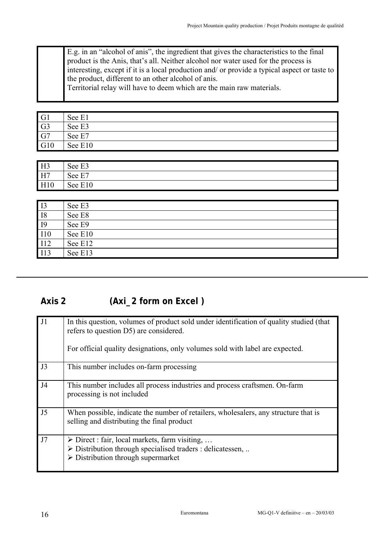| E.g. in an "alcohol of anis", the ingredient that gives the characteristics to the final product is the Anis, that's all. Neither alcohol nor water used for the process is |
|-----------------------------------------------------------------------------------------------------------------------------------------------------------------------------|
| interesting, except if it is a local production and/ or provide a typical aspect or taste to                                                                                |
| the product, different to an other alcohol of anis.                                                                                                                         |
| Territorial relay will have to deem which are the main raw materials.                                                                                                       |
|                                                                                                                                                                             |

| G1              | See E1  |
|-----------------|---------|
| G <sub>3</sub>  | See E3  |
| $\overline{G7}$ | See E7  |
| G10             | See E10 |

| H <sub>3</sub> | See E3  |
|----------------|---------|
| H7             | See E7  |
| H10            | See E10 |

| $\overline{13}$ | See E3  |
|-----------------|---------|
| <b>I8</b>       | See E8  |
| <b>I9</b>       | See E9  |
| <b>I10</b>      | See E10 |
| <b>I12</b>      | See E12 |
| I13             | See E13 |

# **Axis 2 (Axi\_2 form on Excel )**

| J1             | In this question, volumes of product sold under identification of quality studied (that<br>refers to question D5) are considered.<br>For official quality designations, only volumes sold with label are expected. |
|----------------|--------------------------------------------------------------------------------------------------------------------------------------------------------------------------------------------------------------------|
| J3             | This number includes on-farm processing                                                                                                                                                                            |
| J4             | This number includes all process industries and process craftsmen. On-farm<br>processing is not included                                                                                                           |
| J <sub>5</sub> | When possible, indicate the number of retailers, wholesalers, any structure that is<br>selling and distributing the final product                                                                                  |
| J7             | $\triangleright$ Direct : fair, local markets, farm visiting,<br>$\triangleright$ Distribution through specialised traders : delicatessen,<br>$\triangleright$ Distribution through supermarket                    |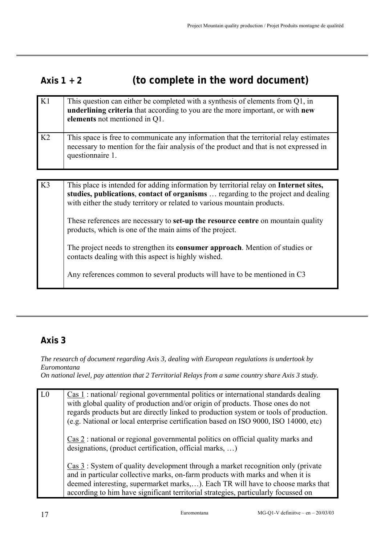# **Axis 1 + 2 (to complete in the word document)**

| K1             | This question can either be completed with a synthesis of elements from $Q1$ , in<br>underlining criteria that according to you are the more important, or with new<br>elements not mentioned in Q1.                                                   |
|----------------|--------------------------------------------------------------------------------------------------------------------------------------------------------------------------------------------------------------------------------------------------------|
| K <sub>2</sub> | This space is free to communicate any information that the territorial relay estimates<br>necessary to mention for the fair analysis of the product and that is not expressed in<br>questionnaire 1.                                                   |
|                |                                                                                                                                                                                                                                                        |
| K3             | This place is intended for adding information by territorial relay on Internet sites,<br>studies, publications, contact of organisms  regarding to the project and dealing<br>with either the study territory or related to various mountain products. |
|                | These references are necessary to <b>set-up the resource centre</b> on mountain quality<br>products, which is one of the main aims of the project.                                                                                                     |
|                | The project needs to strengthen its <b>consumer approach</b> . Mention of studies or<br>contacts dealing with this aspect is highly wished.                                                                                                            |
|                | Any references common to several products will have to be mentioned in C3                                                                                                                                                                              |

### **Axis 3**

*The research of document regarding Axis 3, dealing with European regulations is undertook by Euromontana* 

*On national level, pay attention that 2 Territorial Relays from a same country share Axis 3 study.* 

| $\overline{L0}$ | Cas 1: national/ regional governmental politics or international standards dealing<br>with global quality of production and/or origin of products. Those ones do not<br>regards products but are directly linked to production system or tools of production.<br>(e.g. National or local enterprise certification based on ISO 9000, ISO 14000, etc) |
|-----------------|------------------------------------------------------------------------------------------------------------------------------------------------------------------------------------------------------------------------------------------------------------------------------------------------------------------------------------------------------|
|                 | $\frac{\text{Cas } 2}$ : national or regional governmental politics on official quality marks and<br>designations, (product certification, official marks, )                                                                                                                                                                                         |
|                 | Cas 3 : System of quality development through a market recognition only (private<br>and in particular collective marks, on-farm products with marks and when it is<br>deemed interesting, supermarket marks,). Each TR will have to choose marks that<br>according to him have significant territorial strategies, particularly focussed on          |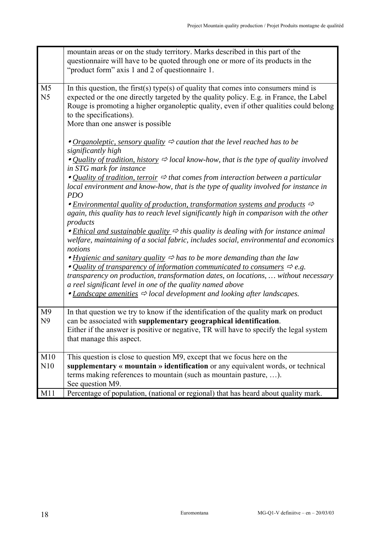|                                  | mountain areas or on the study territory. Marks described in this part of the<br>questionnaire will have to be quoted through one or more of its products in the<br>"product form" axis 1 and 2 of questionnaire 1.                                                                                                                                                                                                                                                                                                                                                                                                                                                                                                                          |
|----------------------------------|----------------------------------------------------------------------------------------------------------------------------------------------------------------------------------------------------------------------------------------------------------------------------------------------------------------------------------------------------------------------------------------------------------------------------------------------------------------------------------------------------------------------------------------------------------------------------------------------------------------------------------------------------------------------------------------------------------------------------------------------|
| M <sub>5</sub><br>N <sub>5</sub> | In this question, the first(s) type(s) of quality that comes into consumers mind is<br>expected or the one directly targeted by the quality policy. E.g. in France, the Label<br>Rouge is promoting a higher organoleptic quality, even if other qualities could belong<br>to the specifications).<br>More than one answer is possible                                                                                                                                                                                                                                                                                                                                                                                                       |
|                                  | • Organoleptic, sensory quality $\Rightarrow$ caution that the level reached has to be<br>significantly high<br>• Quality of tradition, history $\Rightarrow$ local know-how, that is the type of quality involved<br>in STG mark for instance<br>• <i>Quality of tradition, terroir</i> $\Rightarrow$ that comes from interaction between a particular<br>local environment and know-how, that is the type of quality involved for instance in<br><b>PDO</b><br>• Environmental quality of production, transformation systems and products $\Rightarrow$                                                                                                                                                                                    |
|                                  | again, this quality has to reach level significantly high in comparison with the other<br>products<br>• <i>Ethical and sustainable quality</i> $\Rightarrow$ this quality is dealing with for instance animal<br>welfare, maintaining of a social fabric, includes social, environmental and economics<br>notions<br>• Hygienic and sanitary quality $\Rightarrow$ has to be more demanding than the law<br>• Quality of transparency of information communicated to consumers $\Rightarrow$ e.g.<br>transparency on production, transformation dates, on locations,  without necessary<br>a reel significant level in one of the quality named above<br>• Landscape amenities $\Rightarrow$ local development and looking after landscapes. |
| M <sub>9</sub><br>N <sub>9</sub> | In that question we try to know if the identification of the quality mark on product<br>can be associated with supplementary geographical identification.<br>Either if the answer is positive or negative, TR will have to specify the legal system<br>that manage this aspect.                                                                                                                                                                                                                                                                                                                                                                                                                                                              |
| M10<br>N10                       | This question is close to question M9, except that we focus here on the<br>supplementary « mountain » identification or any equivalent words, or technical<br>terms making references to mountain (such as mountain pasture, ).<br>See question M9.                                                                                                                                                                                                                                                                                                                                                                                                                                                                                          |
| M11                              | Percentage of population, (national or regional) that has heard about quality mark.                                                                                                                                                                                                                                                                                                                                                                                                                                                                                                                                                                                                                                                          |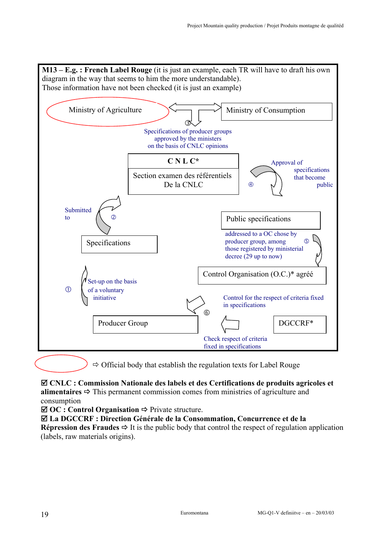

 $\Rightarrow$  Official body that establish the regulation texts for Label Rouge

; **CNLC : Commission Nationale des labels et des Certifications de produits agricoles et alimentaires**  $\Rightarrow$  This permanent commission comes from ministries of agriculture and consumption

 $\boxtimes$  OC : Control Organisation  $\Rightarrow$  Private structure.

; **La DGCCRF : Direction Générale de la Consommation, Concurrence et de la Répression des Fraudes**  $\Rightarrow$  **It is the public body that control the respect of regulation application** (labels, raw materials origins).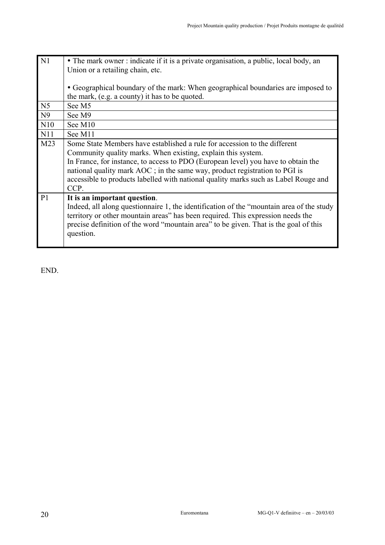| N <sub>1</sub>  | • The mark owner: indicate if it is a private organisation, a public, local body, an     |
|-----------------|------------------------------------------------------------------------------------------|
|                 | Union or a retailing chain, etc.                                                         |
|                 |                                                                                          |
|                 | • Geographical boundary of the mark: When geographical boundaries are imposed to         |
|                 | the mark, (e.g. a county) it has to be quoted.                                           |
| N <sub>5</sub>  | See M5                                                                                   |
| N <sub>9</sub>  | See M9                                                                                   |
| N10             | See M10                                                                                  |
| N11             | See M11                                                                                  |
| M <sub>23</sub> | Some State Members have established a rule for accession to the different                |
|                 | Community quality marks. When existing, explain this system.                             |
|                 | In France, for instance, to access to PDO (European level) you have to obtain the        |
|                 | national quality mark AOC; in the same way, product registration to PGI is               |
|                 | accessible to products labelled with national quality marks such as Label Rouge and      |
|                 | CCP.                                                                                     |
| P <sub>1</sub>  | It is an important question.                                                             |
|                 | Indeed, all along questionnaire 1, the identification of the "mountain area of the study |
|                 | territory or other mountain areas" has been required. This expression needs the          |
|                 | precise definition of the word "mountain area" to be given. That is the goal of this     |
|                 | question.                                                                                |
|                 |                                                                                          |

END.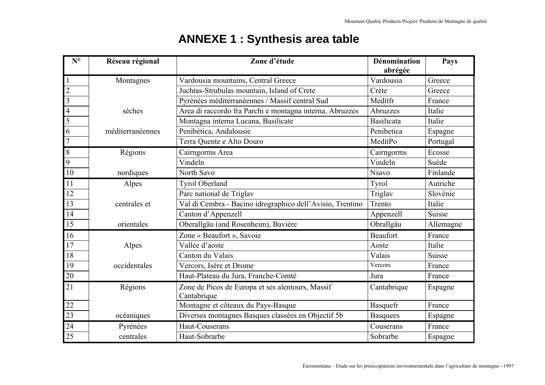# **ANNEXE 1 : Synthesis area table**

| $N^{\circ}$             | Réseau régional                                  | Zone d'étude                                              | Dénomination<br>abrégée | Pays      |
|-------------------------|--------------------------------------------------|-----------------------------------------------------------|-------------------------|-----------|
| $\mathbf{1}$            | Vardousia mountains, Central Greece<br>Montagnes |                                                           | Vardousia               | Greece    |
| $\overline{c}$          |                                                  | Juchtas-Strubulas mountain, Island of Crete               | Crète                   | Greece    |
| $\overline{\mathbf{3}}$ |                                                  | Pyrénées méditerranéennes / Massif central Sud            | Meditfr                 | France    |
| $\overline{4}$          | sèches                                           | Area di raccordo fra Parchi e montagna interna, Abruzzes  | Abruzzes                | Italie    |
| $\overline{5}$          |                                                  | Montagna interna Lucana, Basilicate                       | <b>Basilicata</b>       | Italie    |
| 6                       | méditerranéennes                                 | Penibética, Andalousie                                    | Penibetica              | Espagne   |
| $\overline{7}$          |                                                  | Terra Quente e Alto Douro                                 | MeditPo                 | Portugal  |
| $\,8\,$                 | Régions                                          | Cairngorms Area                                           | Cairngorms              | Ecosse    |
| $\overline{9}$          |                                                  | Vindeln                                                   | Vindeln                 | Suède     |
| 10                      | nordiques                                        | North Savo                                                | <b>Nsavo</b>            | Finlande  |
| 11                      | Alpes                                            | <b>Tyrol Oberland</b>                                     | Tyrol                   | Autriche  |
| 12                      |                                                  | Parc national de Triglav                                  | Triglav                 | Slovénie  |
| 13                      | centrales et                                     | Val di Cembra - Bacino idrographico dell'Avisio, Trentino | Trento                  | Italie    |
| 14                      |                                                  | Canton d'Appenzell                                        | Appenzell               | Suisse    |
| 15                      | orientales                                       | Oberallgäu (and Rosenheim), Bavière                       | Obrallgäu               | Allemagne |
| 16                      |                                                  | Zone « Beaufort », Savoie                                 | <b>Beaufort</b>         | France    |
| 17                      | Alpes                                            | Vallée d'aoste                                            | Aoste                   | Italie    |
| 18                      |                                                  | Canton du Valais                                          | Valais                  | Suisse    |
| 19                      | Vercors, Isère et Drome<br>occidentales          |                                                           | Vercors                 | France    |
| 20                      |                                                  | Haut-Plateau du Jura, Franche-Comté                       | Jura                    | France    |
| 21                      | Régions                                          | Zone de Picos de Europa et ses alentours, Massif          | Cantabrique             | Espagne   |
|                         |                                                  | Cantabrique                                               |                         |           |
| 22                      |                                                  | Montagne et côteaux du Pays-Basque                        | Basquefr                | France    |
| 23                      | océaniques                                       | Diverses montagnes Basques classées en Objectif 5b        | <b>Basquees</b>         | Espagne   |
| $\overline{24}$         | Pyrénées                                         | Haut-Couserans                                            | Couserans               | France    |
| 25                      | centrales                                        | Haut-Sobrarbe                                             | Sobrarbe                | Espagne   |